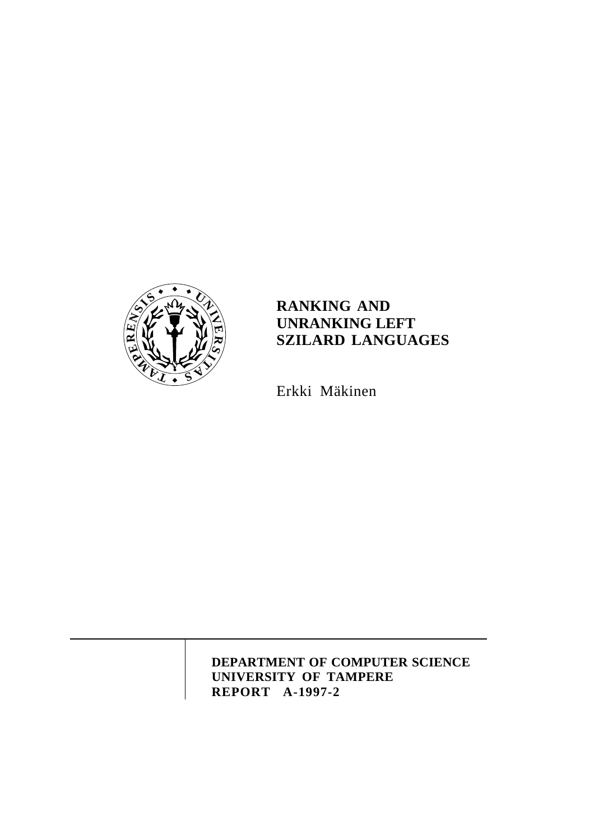

# **RANKING AND UNRANKING LEFT SZILARD LANGUAGES**

Erkki Mäkinen

**DEPARTMENT OF COMPUTER SCIENCE UNIVERSITY OF TAMPERE REPORT A-1997-2**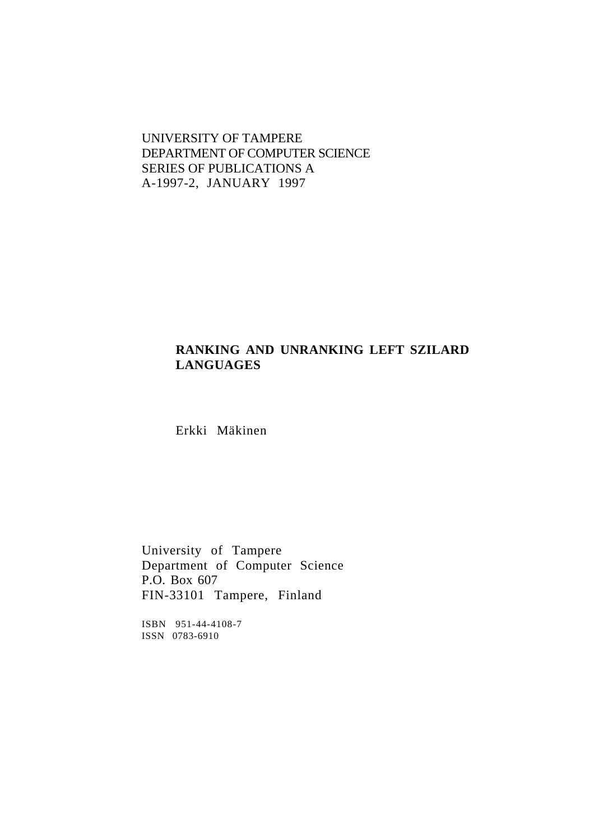## UNIVERSITY OF TAMPERE DEPARTMENT OF COMPUTER SCIENCE SERIES OF PUBLICATIONS A A-1997-2, JANUARY 1997

## **RANKING AND UNRANKING LEFT SZILARD LANGUAGES**

Erkki Mäkinen

University of Tampere Department of Computer Science P.O. Box 607 FIN-33101 Tampere, Finland

ISBN 951-44-4108-7 ISSN 0783-6910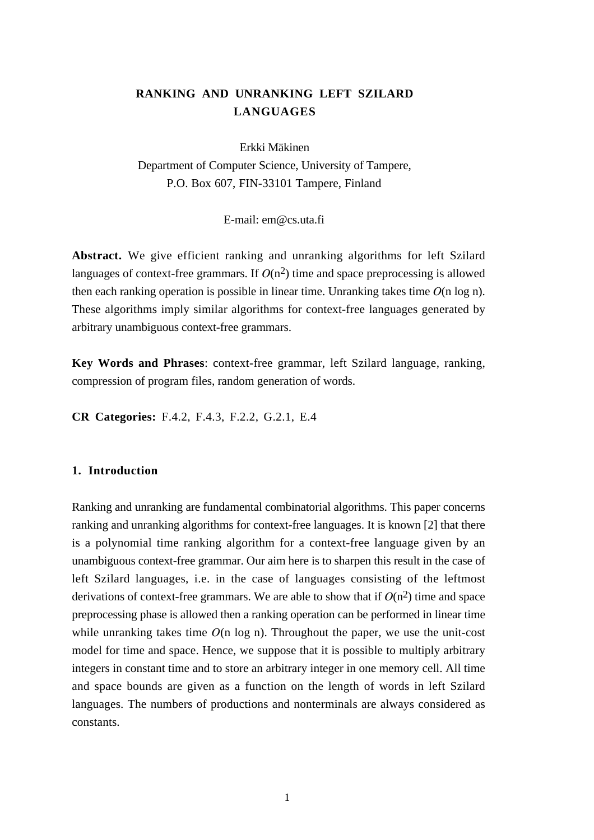## **RANKING AND UNRANKING LEFT SZILARD LANGUAGES**

Erkki Mäkinen

Department of Computer Science, University of Tampere, P.O. Box 607, FIN-33101 Tampere, Finland

E-mail: em@cs.uta.fi

**Abstract.** We give efficient ranking and unranking algorithms for left Szilard languages of context-free grammars. If  $O(n^2)$  time and space preprocessing is allowed then each ranking operation is possible in linear time. Unranking takes time *O*(n log n). These algorithms imply similar algorithms for context-free languages generated by arbitrary unambiguous context-free grammars.

**Key Words and Phrases**: context-free grammar, left Szilard language, ranking, compression of program files, random generation of words.

**CR Categories:** F.4.2, F.4.3, F.2.2, G.2.1, E.4

#### **1. Introduction**

Ranking and unranking are fundamental combinatorial algorithms. This paper concerns ranking and unranking algorithms for context-free languages. It is known [2] that there is a polynomial time ranking algorithm for a context-free language given by an unambiguous context-free grammar. Our aim here is to sharpen this result in the case of left Szilard languages, i.e. in the case of languages consisting of the leftmost derivations of context-free grammars. We are able to show that if  $O(n^2)$  time and space preprocessing phase is allowed then a ranking operation can be performed in linear time while unranking takes time  $O(n \log n)$ . Throughout the paper, we use the unit-cost model for time and space. Hence, we suppose that it is possible to multiply arbitrary integers in constant time and to store an arbitrary integer in one memory cell. All time and space bounds are given as a function on the length of words in left Szilard languages. The numbers of productions and nonterminals are always considered as constants.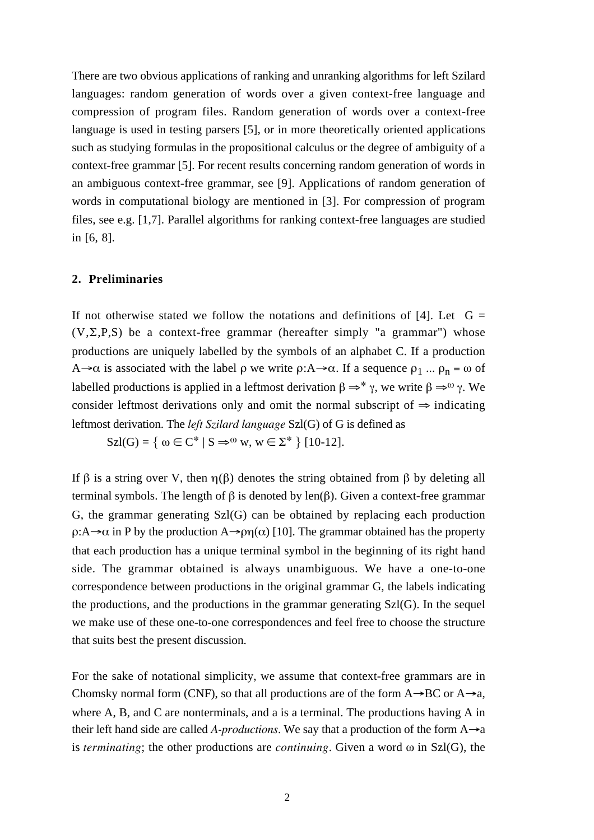There are two obvious applications of ranking and unranking algorithms for left Szilard languages: random generation of words over a given context-free language and compression of program files. Random generation of words over a context-free language is used in testing parsers [5], or in more theoretically oriented applications such as studying formulas in the propositional calculus or the degree of ambiguity of a context-free grammar [5]. For recent results concerning random generation of words in an ambiguous context-free grammar, see [9]. Applications of random generation of words in computational biology are mentioned in [3]. For compression of program files, see e.g. [1,7]. Parallel algorithms for ranking context-free languages are studied in [6, 8].

#### **2. Preliminaries**

If not otherwise stated we follow the notations and definitions of [4]. Let  $G =$  $(V, \Sigma, P, S)$  be a context-free grammar (hereafter simply "a grammar") whose productions are uniquely labelled by the symbols of an alphabet C. If a production A $\rightarrow \alpha$  is associated with the label  $\rho$  we write  $\rho: A \rightarrow \alpha$ . If a sequence  $\rho_1 ... \rho_n = \omega$  of labelled productions is applied in a leftmost derivation  $\beta \Rightarrow^* \gamma$ , we write  $\beta \Rightarrow^{\omega} \gamma$ . We consider leftmost derivations only and omit the normal subscript of  $\Rightarrow$  indicating leftmost derivation. The *left Szilard language* Szl(G) of G is defined as

 $Szl(G) = \{ \omega \in \mathbb{C}^* \mid S \Rightarrow^{\omega} w, w \in \Sigma^* \}$  [10-12].

If  $\beta$  is a string over V, then  $\eta(\beta)$  denotes the string obtained from  $\beta$  by deleting all terminal symbols. The length of  $\beta$  is denoted by len( $\beta$ ). Given a context-free grammar G, the grammar generating Szl(G) can be obtained by replacing each production  $\varphi: A \rightarrow \alpha$  in P by the production  $A \rightarrow \varphi \eta(\alpha)$  [10]. The grammar obtained has the property that each production has a unique terminal symbol in the beginning of its right hand side. The grammar obtained is always unambiguous. We have a one-to-one correspondence between productions in the original grammar G, the labels indicating the productions, and the productions in the grammar generating Szl(G). In the sequel we make use of these one-to-one correspondences and feel free to choose the structure that suits best the present discussion.

For the sake of notational simplicity, we assume that context-free grammars are in Chomsky normal form (CNF), so that all productions are of the form  $A \rightarrow BC$  or  $A \rightarrow a$ , where A, B, and C are nonterminals, and a is a terminal. The productions having A in their left hand side are called *A-productions*. We say that a production of the form  $A \rightarrow a$ is *terminating*; the other productions are *continuing*. Given a word  $\omega$  in Szl(G), the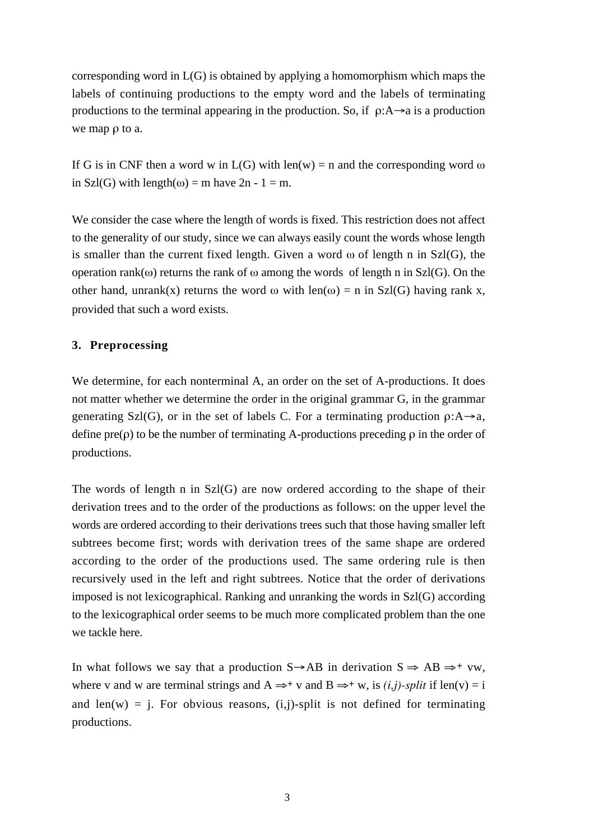corresponding word in L(G) is obtained by applying a homomorphism which maps the labels of continuing productions to the empty word and the labels of terminating productions to the terminal appearing in the production. So, if  $\rho: A \rightarrow a$  is a production we map  $\rho$  to a.

If G is in CNF then a word w in  $L(G)$  with len(w) = n and the corresponding word  $\omega$ in Szl(G) with length( $\omega$ ) = m have 2n - 1 = m.

We consider the case where the length of words is fixed. This restriction does not affect to the generality of our study, since we can always easily count the words whose length is smaller than the current fixed length. Given a word  $\omega$  of length n in Szl(G), the operation rank( $\omega$ ) returns the rank of  $\omega$  among the words of length n in Szl(G). On the other hand, unrank(x) returns the word  $\omega$  with len( $\omega$ ) = n in Szl(G) having rank x, provided that such a word exists.

#### **3. Preprocessing**

We determine, for each nonterminal A, an order on the set of A-productions. It does not matter whether we determine the order in the original grammar G, in the grammar generating Szl(G), or in the set of labels C. For a terminating production  $\rho: A \rightarrow a$ , define  $pre(\rho)$  to be the number of terminating A-productions preceding  $\rho$  in the order of productions.

The words of length n in Szl(G) are now ordered according to the shape of their derivation trees and to the order of the productions as follows: on the upper level the words are ordered according to their derivations trees such that those having smaller left subtrees become first; words with derivation trees of the same shape are ordered according to the order of the productions used. The same ordering rule is then recursively used in the left and right subtrees. Notice that the order of derivations imposed is not lexicographical. Ranking and unranking the words in Szl(G) according to the lexicographical order seems to be much more complicated problem than the one we tackle here.

In what follows we say that a production  $S \rightarrow AB$  in derivation  $S \Rightarrow AB \Rightarrow^+ \text{vw}$ , where v and w are terminal strings and  $A \Rightarrow^+ v$  and  $B \Rightarrow^+ w$ , is *(i,j)-split* if len(v) = i and len(w) = i. For obvious reasons, (i,j)-split is not defined for terminating productions.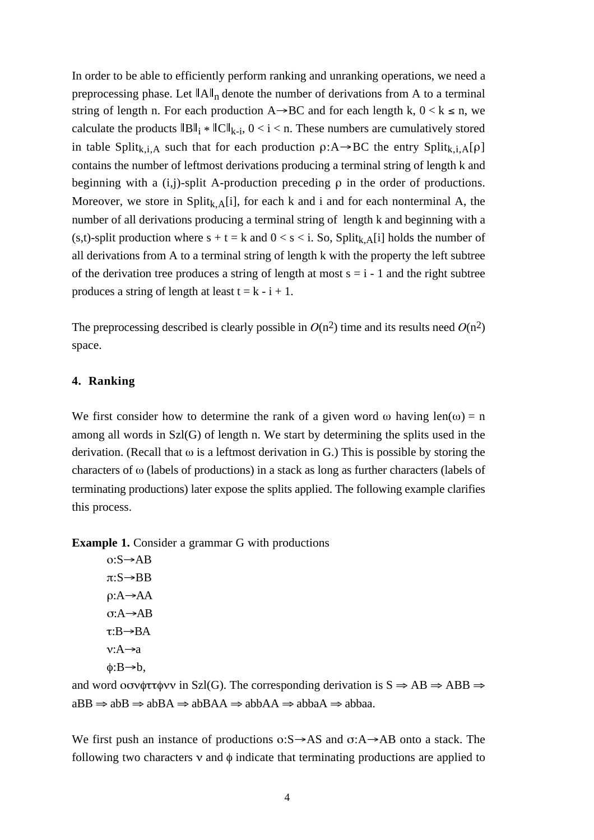In order to be able to efficiently perform ranking and unranking operations, we need a preprocessing phase. Let  $\|A\|_{n}$  denote the number of derivations from A to a terminal string of length n. For each production  $A \rightarrow BC$  and for each length k,  $0 < k \le n$ , we calculate the products  $||B||_i * ||C||_{k-i}$ ,  $0 < i < n$ . These numbers are cumulatively stored in table Split<sub>k,i,A</sub> such that for each production  $\rho: A \rightarrow BC$  the entry Split<sub>k,i,A</sub>[ $\rho$ ] contains the number of leftmost derivations producing a terminal string of length k and beginning with a  $(i,j)$ -split A-production preceding  $\rho$  in the order of productions. Moreover, we store in Split<sub>k.A</sub>[i], for each k and i and for each nonterminal A, the number of all derivations producing a terminal string of length k and beginning with a (s,t)-split production where  $s + t = k$  and  $0 < s < i$ . So, Split<sub>k,A[i]</sub> holds the number of all derivations from A to a terminal string of length k with the property the left subtree of the derivation tree produces a string of length at most  $s = i - 1$  and the right subtree produces a string of length at least  $t = k - i + 1$ .

The preprocessing described is clearly possible in  $O(n^2)$  time and its results need  $O(n^2)$ space.

#### **4. Ranking**

We first consider how to determine the rank of a given word  $\omega$  having len( $\omega$ ) = n among all words in Szl(G) of length n. We start by determining the splits used in the derivation. (Recall that  $\omega$  is a leftmost derivation in G.) This is possible by storing the characters of  $\omega$  (labels of productions) in a stack as long as further characters (labels of terminating productions) later expose the splits applied. The following example clarifies this process.

**Example 1.** Consider a grammar G with productions

 $o: S \rightarrow AB$  $\pi: S \rightarrow BB$  $p: A \rightarrow AA$  $\sigma$ :A $\rightarrow$ AB  $\tau:B\rightarrow BA$  $v: A \rightarrow a$  $\phi:B\rightarrow b$ ,

and word oov $\phi \tau \tau \phi \nu \nu$  in Szl(G). The corresponding derivation is  $S \Rightarrow AB \Rightarrow ABB \Rightarrow$  $aBB \Rightarrow abB \Rightarrow abBA \Rightarrow abBAA \Rightarrow abbAA \Rightarrow abbaA \Rightarrow abbaA.$ 

We first push an instance of productions  $o: S \rightarrow AS$  and  $o: A \rightarrow AB$  onto a stack. The following two characters  $v$  and  $\phi$  indicate that terminating productions are applied to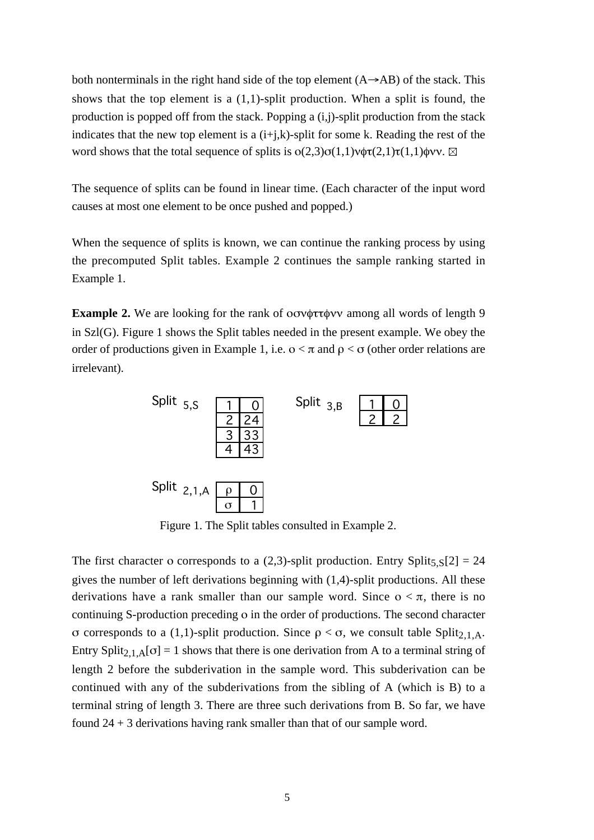both nonterminals in the right hand side of the top element  $(A \rightarrow AB)$  of the stack. This shows that the top element is a (1,1)-split production. When a split is found, the production is popped off from the stack. Popping a (i,j)-split production from the stack indicates that the new top element is a  $(i+j,k)$ -split for some k. Reading the rest of the word shows that the total sequence of splits is  $o(2,3)\sigma(1,1)\psi\sigma(2,1)\tau(1,1)\psi\cdot\mathbf{W}$ .

The sequence of splits can be found in linear time. (Each character of the input word causes at most one element to be once pushed and popped.)

When the sequence of splits is known, we can continue the ranking process by using the precomputed Split tables. Example 2 continues the sample ranking started in Example 1.

**Example 2.** We are looking for the rank of  $oov\phi\tau\phi\gamma\psi$  among all words of length 9 in Szl(G). Figure 1 shows the Split tables needed in the present example. We obey the order of productions given in Example 1, i.e.  $0 < \pi$  and  $\rho < \sigma$  (other order relations are irrelevant).



Figure 1. The Split tables consulted in Example 2.

The first character o corresponds to a  $(2,3)$ -split production. Entry Split<sub>5,S</sub>[2] = 24 gives the number of left derivations beginning with (1,4)-split productions. All these derivations have a rank smaller than our sample word. Since  $o < \pi$ , there is no continuing S-production preceding o in the order of productions. The second character  $\sigma$  corresponds to a (1,1)-split production. Since  $\rho < \sigma$ , we consult table Split<sub>2,1,A</sub>. Entry Split<sub>2,1,A</sub>[ $\sigma$ ] = 1 shows that there is one derivation from A to a terminal string of length 2 before the subderivation in the sample word. This subderivation can be continued with any of the subderivations from the sibling of A (which is B) to a terminal string of length 3. There are three such derivations from B. So far, we have found 24 + 3 derivations having rank smaller than that of our sample word.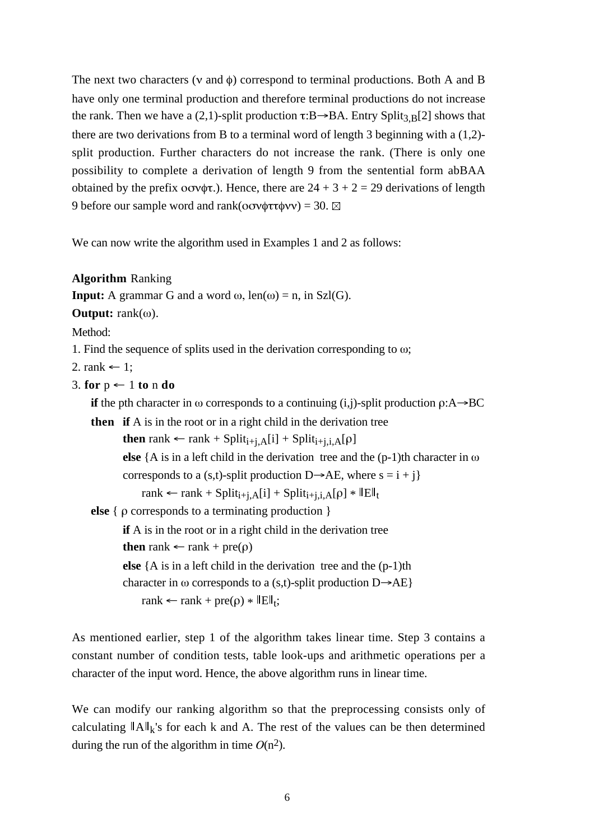The next two characters ( $\nu$  and  $\phi$ ) correspond to terminal productions. Both A and B have only one terminal production and therefore terminal productions do not increase the rank. Then we have a (2,1)-split production  $\tau:B\rightarrow BA$ . Entry Split<sub>3,B</sub>[2] shows that there are two derivations from B to a terminal word of length 3 beginning with a (1,2) split production. Further characters do not increase the rank. (There is only one possibility to complete a derivation of length 9 from the sentential form abBAA obtained by the prefix  $oov\phi\tau$ .). Hence, there are  $24 + 3 + 2 = 29$  derivations of length 9 before our sample word and rank( $\sigma$ ov $\phi \tau \tau \phi \nu$ ) = 30.  $\boxtimes$ 

We can now write the algorithm used in Examples 1 and 2 as follows:

### **Algorithm** Ranking

**Input:** A grammar G and a word  $\omega$ , len( $\omega$ ) = n, in Szl(G).

**Output:**  $rank(\omega)$ .

Method:

- 1. Find the sequence of splits used in the derivation corresponding to  $\omega$ ;
- 2. rank  $\leftarrow$  1;
- 3. **for**  $p \leftarrow 1$  **to** n **do**

**if** the pth character in  $\omega$  corresponds to a continuing (i,j)-split production  $\rho: A \rightarrow BC$ 

**then if** A is in the root or in a right child in the derivation tree **then** rank  $\leftarrow$  rank + Split<sub>i+i,A</sub>[i] + Split<sub>i+i,i,A</sub>[ $\rho$ ] **else** {A is in a left child in the derivation tree and the  $(p-1)$ th character in  $\omega$ corresponds to a (s,t)-split production  $D\rightarrow AE$ , where  $s = i + j$ rank  $\leftarrow$  rank + Split<sub>i+i,A</sub>[i] + Split<sub>i+i,i,A</sub>[ $\rho$ ] \*  $\|E\|_t$ **else** {  $\rho$  corresponds to a terminating production } **if** A is in the root or in a right child in the derivation tree **then** rank  $\leftarrow$  rank + pre( $\rho$ ) **else** {A is in a left child in the derivation tree and the (p-1)th character in  $\omega$  corresponds to a (s,t)-split production D $\rightarrow$ AE} rank  $\leftarrow$  rank + pre( $\rho$ ) \*  $\|E\|_t$ ;

As mentioned earlier, step 1 of the algorithm takes linear time. Step 3 contains a constant number of condition tests, table look-ups and arithmetic operations per a character of the input word. Hence, the above algorithm runs in linear time.

We can modify our ranking algorithm so that the preprocessing consists only of calculating  $\|\mathbf{A}\|_{k}$ 's for each k and A. The rest of the values can be then determined during the run of the algorithm in time  $O(n^2)$ .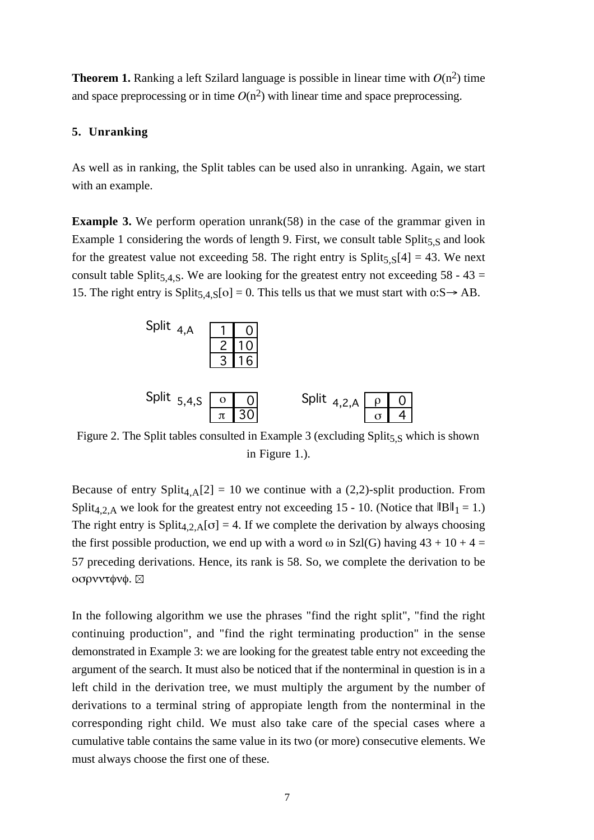**Theorem 1.** Ranking a left Szilard language is possible in linear time with  $O(n^2)$  time and space preprocessing or in time  $O(n^2)$  with linear time and space preprocessing.

#### **5. Unranking**

As well as in ranking, the Split tables can be used also in unranking. Again, we start with an example.

**Example 3.** We perform operation unrank(58) in the case of the grammar given in Example 1 considering the words of length 9. First, we consult table Split<sub>5,S</sub> and look for the greatest value not exceeding 58. The right entry is  $\text{Split}_{5,5}[4] = 43$ . We next consult table Split<sub>5,4,S</sub>. We are looking for the greatest entry not exceeding 58 - 43 = 15. The right entry is Split<sub>5,4,S</sub>[o] = 0. This tells us that we must start with o:S  $\rightarrow$  AB.



Figure 2. The Split tables consulted in Example 3 (excluding  $\text{Split}_{5,S}$  which is shown in Figure 1.).

Because of entry Split<sub>4,A</sub>[2] = 10 we continue with a  $(2,2)$ -split production. From Split<sub>4,2,A</sub> we look for the greatest entry not exceeding 15 - 10. (Notice that  $\|B\|_1 = 1$ .) The right entry is Split<sub>4,2,A</sub>[ $\sigma$ ] = 4. If we complete the derivation by always choosing the first possible production, we end up with a word  $\omega$  in Szl(G) having  $43 + 10 + 4 =$ 57 preceding derivations. Hence, its rank is 58. So, we complete the derivation to be οσρνντφνφ.  $\boxtimes$ 

In the following algorithm we use the phrases "find the right split", "find the right continuing production", and "find the right terminating production" in the sense demonstrated in Example 3: we are looking for the greatest table entry not exceeding the argument of the search. It must also be noticed that if the nonterminal in question is in a left child in the derivation tree, we must multiply the argument by the number of derivations to a terminal string of appropiate length from the nonterminal in the corresponding right child. We must also take care of the special cases where a cumulative table contains the same value in its two (or more) consecutive elements. We must always choose the first one of these.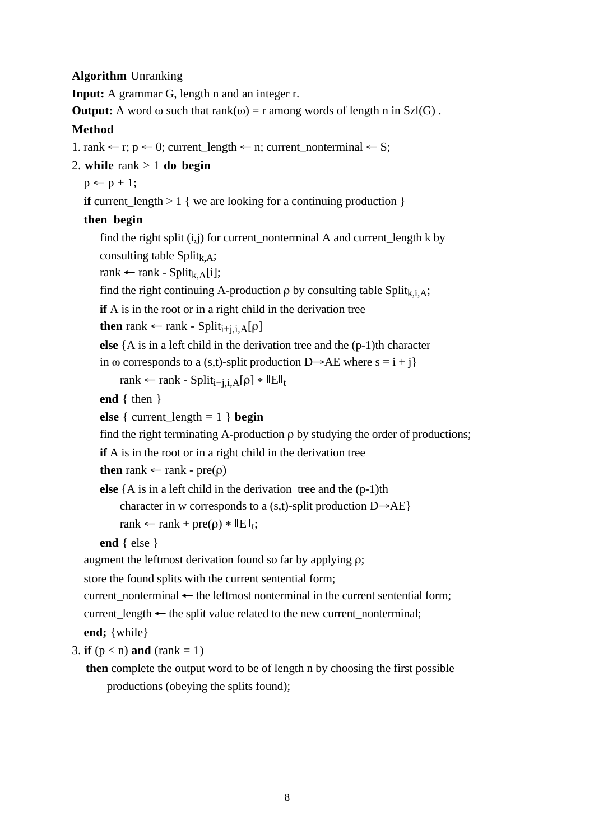### **Algorithm** Unranking

**Input:** A grammar G, length n and an integer r.

**Output:** A word  $\omega$  such that rank( $\omega$ ) = r among words of length n in Szl(G).

## **Method**

- 1. rank  $\leftarrow$  r; p  $\leftarrow$  0; current length  $\leftarrow$  n; current nonterminal  $\leftarrow$  S;
- 2. **while** rank > 1 **do begin**

 $p \leftarrow p + 1$ ;

**if** current\_length  $> 1$  { we are looking for a continuing production }

## **then begin**

find the right split  $(i,j)$  for current nonterminal A and current length k by consulting table Split<sub>k,A</sub>;

rank  $\leftarrow$  rank - Split<sub>k, A</sub>[i];

find the right continuing A-production  $\rho$  by consulting table Split<sub>k,i,A</sub>;

**if** A is in the root or in a right child in the derivation tree

**then** rank  $\leftarrow$  rank - Split<sub>i+i,i,A</sub>[ $\rho$ ]

**else** {A is in a left child in the derivation tree and the (p-1)th character in  $\omega$  corresponds to a (s,t)-split production D $\rightarrow$ AE where s = i + j}

rank  $\leftarrow$  rank - Split<sub>i+i,j,A</sub>[ $\rho$ ] \*  $\|E\|_t$ 

**end** { then }

**else** { current\_length = 1 } **begin**

find the right terminating A-production  $\rho$  by studying the order of productions;

**if** A is in the root or in a right child in the derivation tree

**then** rank  $\leftarrow$  rank - pre( $\rho$ )

```
else {A is in a left child in the derivation tree and the (p-1)th
```

```
character in w corresponds to a (s,t)-split production D \rightarrow AE}
```
rank  $\leftarrow$  rank + pre( $\rho$ ) \*  $\|E\|_{t}$ ;

**end** { else }

augment the leftmost derivation found so far by applying  $\rho$ ;

store the found splits with the current sentential form;

current nonterminal  $\leftarrow$  the leftmost nonterminal in the current sentential form;

```
current_length \leftarrow the split value related to the new current\_nonterminal;
```
**end;** {while}

3. **if**  $(p < n)$  **and**  $(\text{rank} = 1)$ 

**then** complete the output word to be of length n by choosing the first possible productions (obeying the splits found);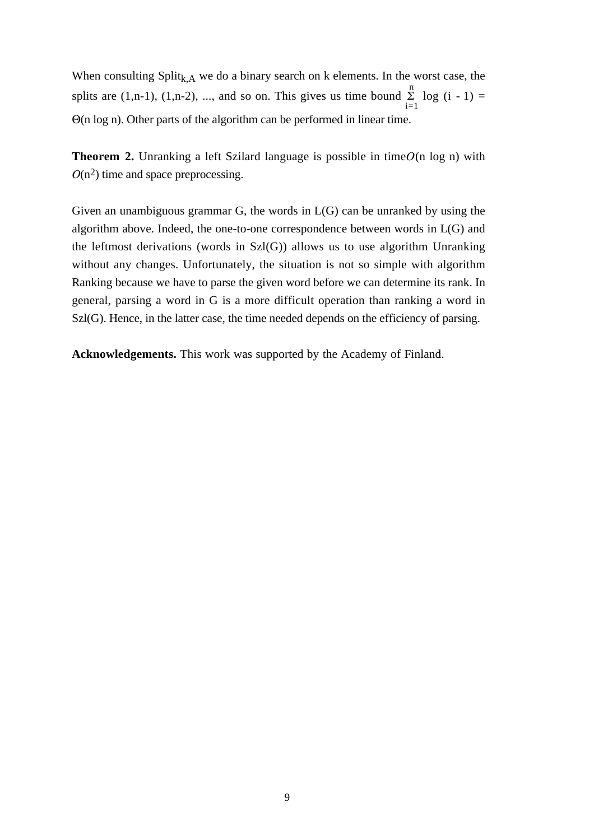When consulting  $Split_{k,A}$  we do a binary search on k elements. In the worst case, the splits are (1,n-1), (1,n-2), ..., and so on. This gives us time bound  $\Sigma$  $i=1$  $\sum_{i=1}^{n} \log(i - 1) =$  $\Theta(n \log n)$ . Other parts of the algorithm can be performed in linear time.

**Theorem 2.** Unranking a left Szilard language is possible in time $O(n \log n)$  with  $O(n^2)$  time and space preprocessing.

Given an unambiguous grammar G, the words in L(G) can be unranked by using the algorithm above. Indeed, the one-to-one correspondence between words in L(G) and the leftmost derivations (words in  $Szl(G)$ ) allows us to use algorithm Unranking without any changes. Unfortunately, the situation is not so simple with algorithm Ranking because we have to parse the given word before we can determine its rank. In general, parsing a word in G is a more difficult operation than ranking a word in Szl(G). Hence, in the latter case, the time needed depends on the efficiency of parsing.

**Acknowledgements.** This work was supported by the Academy of Finland.